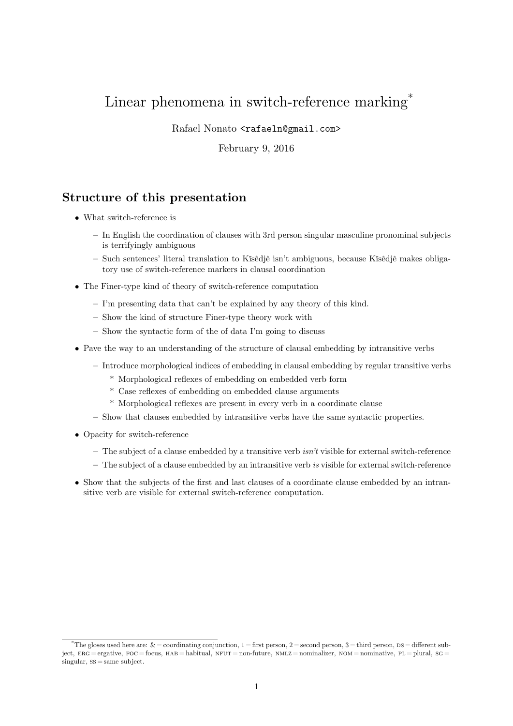# Linear phenomena in switch-reference marking<sup>\*</sup>

Rafael Nonato <rafaeln@gmail.com>

February 9, 2016

# **Structure of this presentation**

- What switch-reference is
	- **–** In English the coordination of clauses with 3rd person singular masculine pronominal subjects is terrifyingly ambiguous
	- **–** Such sentences' literal translation to Kĩsêdjê isn't ambiguous, because Kĩsêdjê makes obligatory use of switch-reference markers in clausal coordination
- The Finer-type kind of theory of switch-reference computation
	- **–** I'm presenting data that can't be explained by any theory of this kind.
	- **–** Show the kind of structure Finer-type theory work with
	- **–** Show the syntactic form of the of data I'm going to discuss
- Pave the way to an understanding of the structure of clausal embedding by intransitive verbs
	- **–** Introduce morphological indices of embedding in clausal embedding by regular transitive verbs
		- \* Morphological reflexes of embedding on embedded verb form
		- \* Case reflexes of embedding on embedded clause arguments
		- \* Morphological reflexes are present in every verb in a coordinate clause
	- **–** Show that clauses embedded by intransitive verbs have the same syntactic properties.
- Opacity for switch-reference
	- **–** The subject of a clause embedded by a transitive verb *isn't* visible for external switch-reference
	- **–** The subject of a clause embedded by an intransitive verb *is* visible for external switch-reference
- Show that the subjects of the first and last clauses of a coordinate clause embedded by an intransitive verb are visible for external switch-reference computation.

<span id="page-0-13"></span><span id="page-0-12"></span><span id="page-0-11"></span><span id="page-0-10"></span><span id="page-0-9"></span><span id="page-0-8"></span><span id="page-0-7"></span><span id="page-0-6"></span><span id="page-0-5"></span><span id="page-0-4"></span><span id="page-0-3"></span><span id="page-0-2"></span><span id="page-0-1"></span><span id="page-0-0"></span><sup>\*</sup>The gloses used here are:  $\& =$  coordinating conjunction, 1 = first person, 2 = second person, 3 = third person, DS = different subject,  $ERG = ergative$ ,  $FOC = focus$ ,  $HAB = habitual$ ,  $NFUT = non-future$ ,  $NMLZ = nominalizer$ ,  $NOM = nominative$ ,  $PL = plural$ ,  $SG =$  $sineular, ss = same subject.$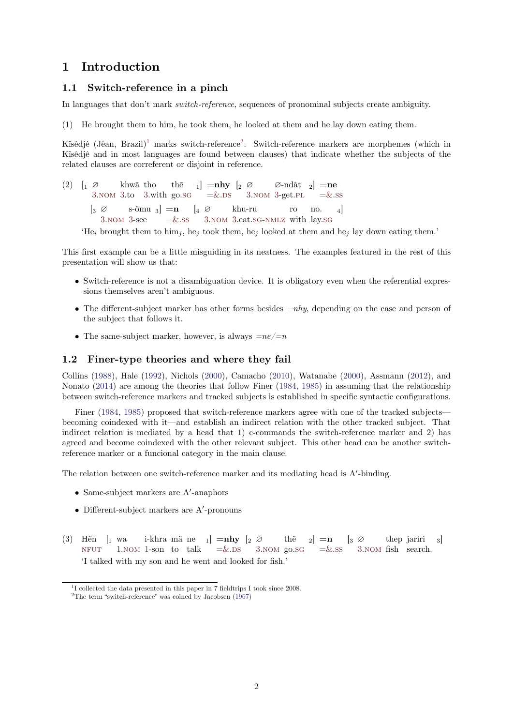# **1 Introduction**

## **1.1 Switch-reference in a pinch**

In languages that don't mark *switch-reference*, sequences of pronominal subjects create ambiguity.

(1) He brought them to him, he took them, he looked at them and he lay down eating them.

Kîsêdjê (Jêan, Brazil)<sup>1</sup> marks switch-reference<sup>2</sup>. Switch-reference markers are morphemes (which in Kĩsêdjê and in most languages are found between clauses) that indicate whether the subjects of the related clauses are correferent or disjoint in reference.

 $(2)$  |  $\alpha$ 3.NOM 3.to 3.with go.SG khwã [th](#page-1-0)o thẽ  $_{1}] =$ **nhy**  $\left[ \begin{smallmatrix} 2 & \varnothing \end{smallmatrix} \right]$  $\left[ \begin{smallmatrix} 2 & \varnothing \end{smallmatrix} \right]$  $\left[ \begin{smallmatrix} 2 & \varnothing \end{smallmatrix} \right]$  $=\&$ .DS 3.NOM 3-get.PL ∅-ndât <sup>2</sup>] **=ne**  $=\&$ .SS  $\left[\begin{smallmatrix}3\end{smallmatrix}\right]$ 3.NOM 3-see s-õmu <sup>3</sup>] **=n**  $=\&$ .SS  $\begin{bmatrix} 4 & \varnothing \end{bmatrix}$ 3.NOM 3.eat.SG-NMLZ with lay.SG khu-ru ro no. 4]

'He<sub>[i](#page-0-0)</sub> [brou](#page-0-1)[gh](#page-0-0)t th[em](#page-0-0) to him<sub>j</sub>[, h](#page-0-2)e<sub>j</sub> to[ok](#page-0-3) [the](#page-0-4)m, [h](#page-0-0)e<sub>j</sub> [loo](#page-0-1)[ke](#page-0-0)d a[t th](#page-0-5)ema[nd](#page-0-3) [he](#page-0-6)<sub>j</sub> lay down eating them.'

This first example can be a little misguiding in its neatness. The examples featured in the rest of this presentati[on](#page-0-0) [will](#page-0-1) [sh](#page-0-0)ow us tha[t:](#page-0-3)

- Switch-reference is not a disambiguation device. It is obligatory even when the referential expressions themselves aren't ambiguous.
- The different-subject marker has other forms besides *=nhy*, depending on the case and person of the subject that follows it.
- The same-subject marker, however, is always  $=ne/=n$

## **1.2 Finer-type theories and where they fail**

Collins (1988), Hale (1992), Nichols (2000), Camacho (2010), Watanabe (2000), Assmann (2012), and Nonato (2014) are among the theories that follow Finer (1984, 1985) in assuming that the relationship between switch-reference markers and tracked subjects is established in specific syntactic configurations.

Finer (1984, 1985) proposed that switch-reference markers agree with one of the tracked subjects becomin[g coin](#page-6-0)dexed [with i](#page-6-1)t—and est[ablish](#page-6-2) an indirect [relat](#page-6-3)ion with the [other](#page-6-4) tracked sub[ject.](#page-6-5) That indirect [relati](#page-6-6)on is mediated by a head that 1) c-comm[ands](#page-6-7) [the sw](#page-6-8)itch-reference marker and 2) has agreed and become coindexed with the other relevant subject. This other head can be another switchreference [marke](#page-6-7)[r or a](#page-6-8) funcional category in the main clause.

The relation between one switch-reference marker and its mediating head is A<sup>'</sup>-binding.

- Same-subject markers are A*′* -anaphors
- Different-subject markers are A*′* -pronouns
- (3) Hẽn [<sup>1</sup> wa NFUT 1.NOM 1-son to talk i-khra mã ne  $_{1}] =$ **nhy**  $\left[ \begin{smallmatrix} 2 & \varnothing \end{smallmatrix} \right]$  $=\&$ .DS 3.NOM go.SG thẽ  $_2$  =  $\mathbf{n}$  $=\&$ .SS  $|_3 \oslash$ 3.NOM fish search. thep jariri 3] 'I talked with my son and he went and looked for fish.'

<sup>&</sup>lt;sup>1</sup>I [collected](#page-0-7) th[e d](#page-0-8)[ata pr](#page-0-1)e[se](#page-0-8)nted in this paper in 7 [fiel](#page-0-3)[dtrip](#page-0-4)s I [too](#page-0-0)[k sinc](#page-0-1)e 20[08.](#page-0-2)

<span id="page-1-1"></span><span id="page-1-0"></span> $^{2}\mathrm{The\ term}$  "switch-reference" was coined by Jacobsen (1967)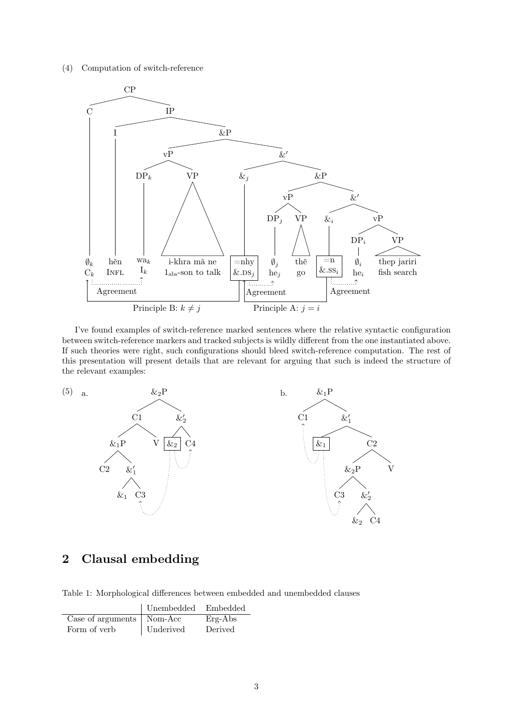(4) Computation of switch-reference



I've found examples of switch-reference marked sentences where the relative syntactic configuration between switch-reference markers and tracked subjects is wildly different from the one instantiated above. If such theories were right, such configurations should bleed switch-reference computation. The rest of this presentation will present details that are relevant for arguing that such is indeed the structure of the relevant examples:



# **2 Clausal embedding**

Table 1: Morphological differences between embedded and unembedded clauses

|                             | Unembedded | Embedded  |
|-----------------------------|------------|-----------|
| Case of arguments   Nom-Acc |            | $Erg-Abs$ |
| Form of verb                | Underived  | Derived   |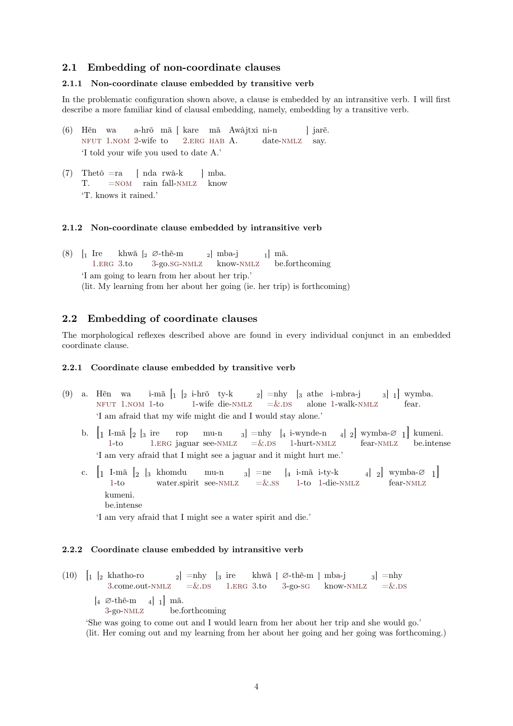## **2.1 Embedding of non-coordinate clauses**

#### **2.1.1 Non-coordinate clause embedded by transitive verb**

In the problematic configuration shown above, a clause is embedded by an intransitive verb. I will first describe a more familiar kind of clausal embedding, namely, embedding by a transitive verb.

- (6) Hẽn wa NFUT 1.NOM 2-wife to a-hrõ mã [ kare mã Awâjtxi ni-n 2.ERG HAB A. date-NMLZ ] jarẽ. say. 'I told your wife you used to date A.'
- (7) Thetô =ra [T.](#page-0-7) [=NOM](#page-0-1) rain fall-N[M](#page-0-9)[LZ](#page-0-10) [know](#page-0-11) [ nda rwâ-k ] mba. 'T. knows it rained.'

#### **2.1.2 Non-[coord](#page-0-1)inate cla[use em](#page-0-12)bedded by intransitive verb**

 $(8)$  [1 Ire 1.ERG 3.to khwã [<sup>2</sup> ∅-thẽ-m 3-go.SG-NMLZ <sup>2</sup>] mba-j know-NMLZ  $1 \mid m\tilde{a}.$ be.forthcoming 'I am going to learn from her about her trip.' (lit. My learning from her about her going (ie. her trip) is forthcoming)

### **2.2 Embedding of coordinate clauses**

The morphological reflexes described above are found in every individual conjunct in an embedded coordinate clause.

#### **2.2.1 Coordinate clause embedded by transitive verb**

- (9) a. Hẽn wa NFUT 1.NOM 1-to i-mã $\begin{bmatrix} 1 & \left[ 2 & \text{i-hrõ} & \text{ty-k} \end{bmatrix}$  =nhy  $\begin{bmatrix} 3 & \text{athe} & \text{i-mbra-j} \end{bmatrix}$  al  $\begin{bmatrix} 1 & \text{j} \end{bmatrix}$  wymba. 1-wife die-NMLZ =&.DS alone 1-walk-NMLZ fear. 'I am afraid that my wife might die and I would stay alone.'
	- b.  $\left[1 \text{ I-mă } \left[2 \right] \text{S} \text{ire} \right] \text{rop} \left[ \text{mu-n } 3 \right] = \text{nhy } \left[4 \text{ i-wynde-n } 4 \right] 2 \text{l wymba-Ø } 1 \text{l kumeni.}$  $1-t<sub>o</sub>$  $1-t<sub>o</sub>$  $1-t<sub>o</sub>$  $1-t<sub>o</sub>$ [1](#page-0-4). ERG jag[ua](#page-0-8)r see-NM[LZ](#page-0-8)  $=\&$ .D[S](#page-0-3) 1-hurt-NMLZ [fear-N](#page-0-12)MLZ be.intense 'I am ve[ry afr](#page-0-1)aid that I might see a jaguar and it might hurt me.'
	- c. [<sup>1</sup> I-mã [<sup>2</sup> [<sup>3</sup> khomdu [1](#page-0-8)-to [wate](#page-0-10)r.spirit see[-NMLZ](#page-0-12) mu-n 3] =ne  $\begin{bmatrix} 4 & \text{i-m}{\tilde{a}} & \text{i-ty-k} \\ 4 & \text{j-2} \end{bmatrix}$  wymba- $\varnothing$  1]  $=\&$  $=\&$ .SS 1-to [1-die](#page-0-12)-NMLZ [fea](#page-0-12)r-NMLZ kumeni. be.intense

'Ia[m](#page-0-8) very afraid that I might se[e a wa](#page-0-12)ter s[pir](#page-0-3)[it a](#page-0-6)nd [di](#page-0-8)e.'

#### **2.2.2 Coordinate clause embedded by intransitive verb**

 $(10)$   $\vert_1 \vert_2$  khatho-ro 3.come.out-NMLZ  $_{2}]$  =nhy  $[_{3}]$  ire  $=\&$ .DS 1.ERG 3.to khwã [ ∅-thẽ-m ] mba-j 3-go-SG know-NMLZ  $_3$ ] =nhy  $=\&$ .DS  $\begin{bmatrix} 4 & \emptyset \text{-th} \tilde{\text{e}} \text{-m} & 4 \end{bmatrix} \begin{bmatrix} 1 \end{bmatrix}$  mã. 3-go-NMLZ be.forthcoming

'She was going to come out and I would learn from her about her trip and she would go.' (lit. [He](#page-0-0)r coming [out an](#page-0-12)d my [le](#page-0-3)[arn](#page-0-4)ing [f](#page-0-8)[rom](#page-0-10) [her](#page-0-0) abou[t](#page-0-0) her [go](#page-0-2)ing andh[er goi](#page-0-12)ng w[as](#page-0-3) [fort](#page-0-4)hcoming.)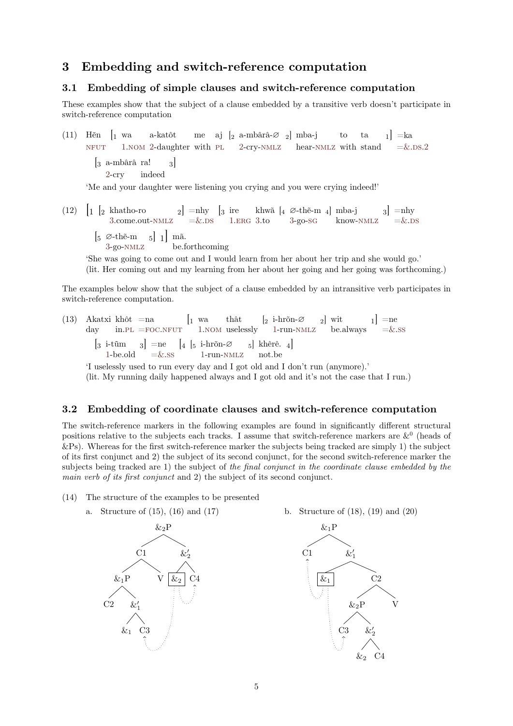# **3 Embedding and switch-reference computation**

## **3.1 Embedding of simple clauses and switch-reference computation**

These examples show that the subject of a clause embedded by a transitive verb doesn't participate in switch-reference computation

(11) Hẽn [<sup>1</sup> wa NFUT 1.NOM 2-daughter with PL 2-cry-NMLZ hear-NMLZ with stand a-katôt me aj [<sup>2</sup> a-mbârâ-∅ <sup>2</sup>] mba-j to ta  $1$  = ka  $=\&$ .DS.2 [<sup>3</sup> a-mbârâ ra! 2-cry indeed 3] ['Me a](#page-0-7)nd [yo](#page-0-8)[ur da](#page-0-1)[ug](#page-0-9)hter were listen[ing](#page-0-5) yo[u](#page-0-9) cryi[ng and](#page-0-12) you we[re cry](#page-0-12)ing indeed!'

 $(12)$   $\vert_1 \vert_2$  khatho-ro [3](#page-0-9).come.out-NMLZ  $_{2}]$  =nhy  $=\&$ .DS  $\left[3 \right]$  ire 1.ERG khwã 3.to [<sup>4</sup> ∅-thẽ-m 3-go-SG <sup>4</sup>] mba-j know-NMLZ  $_3$  =nhy  $=\&$ .DS  $\begin{bmatrix} 5 & \varnothing \text{-th} \tilde{\text{e}} \text{-m} & 5 \end{bmatrix}$  1 mã. 3-go-NMLZ be.forthcoming

'She [wa](#page-0-0)s going to [come](#page-0-12) out [and](#page-0-3) [I](#page-0-4) wou[ld](#page-0-8) [lear](#page-0-10)[n](#page-0-0) from he[r](#page-0-0) ab[out](#page-0-2) her trip a[nd she](#page-0-12) woul[d](#page-0-3) [go.'](#page-0-4) (lit. Her coming out and my learning from her about her going and her going was forthcoming.)

The examp[le](#page-0-0)s b[elow sh](#page-0-12)ow that the subject of a clause embedded by an intransitive verb participates in switch-reference computation.

(13) Akatxi day khôt in.PL  $=$ na  $=$ FOC.NFUT  $\begin{bmatrix} 1 & \text{wa} \end{bmatrix}$ 1.NOM thât uselessly [<sup>2</sup> i-hrõn-∅ 1-run-NMLZ <sup>2</sup>] wit be.always  $_{1}]$  =ne  $=\&$ .ss [<sup>3</sup> i-tũm 1-be.old  $_{3}]$  =ne  $=\&$ .ss  $\begin{bmatrix} 4 & 5 & \text{i-hr\~{o}} \end{bmatrix}$ 1-run-NMLZ <sup>5</sup>] khêrê. not.be 4]

'I uselessly used to run every day and I got old and I don't run (anymore).'

(lit. My r[unn](#page-0-5)in[g dai](#page-0-13)[ly hap](#page-0-7)pe[ne](#page-0-8)[d alw](#page-0-1)ays and I got [o](#page-0-8)ld a[nd it's](#page-0-12) not the case that [I r](#page-0-3)[un.](#page-0-6))

### **3.2 Embedding of coordinate clauses and switch-reference computation**

The switch-reference markers in the following examples are found in significantly different structural positions relative to the subjects each tracks. I assume that switch-reference markers are  $\&^0$  (heads of &Ps). Whereas for the first switch-reference marker the subjects being tracked are simply 1) the subject of its first conjunct and 2) the subject of its second conjunct, for the second switch-reference marker the subjects being tracked are 1) the subject of *the final conjunct in the coordinate clause embedded by the main verb of its first conjunct* and 2) the subject of its second conjunct.

- (14) The structure of the examples to be presented
	- a. Structure of (15), (16) and (17)



b. Structure of (18), (19) and (20)

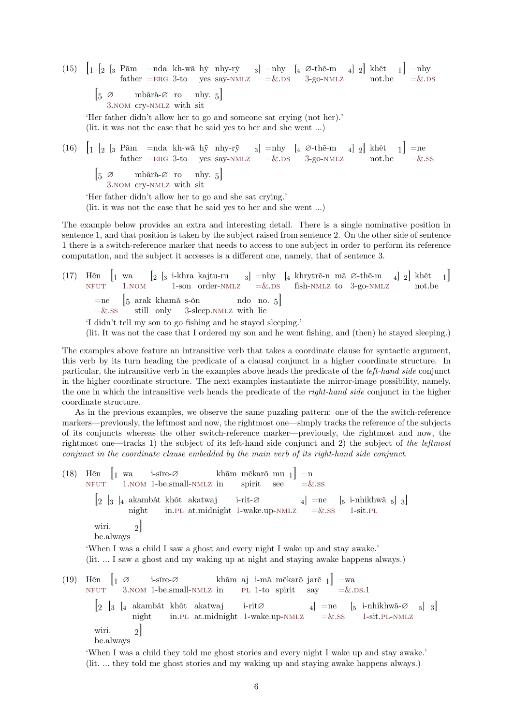- $(15)$   $\left[1\right]$   $\left[2\right]$   $\left[3\right]$  Pãm father  $=$ nda  $=$ ERG kh-wã 3-to hỹ yes nhy-rỹ say-NMLZ  $_{3}$ ] =nhy  $=\&$ .DS [<sup>4</sup> ∅-thẽ-m 3-go-NMLZ <sup>4</sup>] <sup>2</sup>] khêt not.be  $_{1}]$  =nhy  $=\&$ .DS  $|5 \n\infty$ 3.NOM cry-NMLZ with sit mbârâ-∅ ro mhy.  $5$ ] 'Her father didn't [allo](#page-0-10)[w](#page-0-0) her to go and [someo](#page-0-12)ne s[at](#page-0-3) [cry](#page-0-4)ing [\(n](#page-0-0)ot [her\).'](#page-0-12) (lit. it was not the case that he said yes to her and she went …) (16)  $\begin{bmatrix} 1 & \begin{bmatrix} 2 & \end{bmatrix} & 3 & \text{Păm} \\ 4 & \text{Piem} \\ 1 & 2 \end{bmatrix} & \text{Păm} \\ 2 & 3 \end{bmatrix}$  =nhy  $\begin{bmatrix} 4 & \text{O-th\tilde{e}-m} \\ 4 & 2 \end{bmatrix}$  khêt  $\begin{bmatrix} 1 \\ 2 \end{bmatrix}$  =ne father  $=$ ERG 3-to yes say-NMLZ  $=$   $\&$ .DS 3-go-NMLZ not.be  $=\&$ .SS
	- [<sup>5</sup> <sup>∅</sup> 3.NOM cry-NMLZ with sit mbârâ-∅ ro mhy.  $5$ ]

'Her father didn't [allo](#page-0-10)[w](#page-0-0) her to go and [she sa](#page-0-12)t cry[ing](#page-0-3).'

(lit. it was not the case that he said yes to her and [she](#page-0-4) we[nt](#page-0-0) …[\)](#page-0-12)

The examp[le](#page-0-0) [below](#page-0-1) pr[ovides](#page-0-12) an extra and interesting detail. There is a single nominative position in sentence 1, and that position is taken by the subject raised from sentence 2. On the other side of sentence 1 there is a switch-reference marker that needs to access to one subject in order to perform its reference computation, and the subject it accesses is a different one, namely, that of sentence 3.

(17) Hẽn [<sup>1</sup> wa NFUT 1. NOM 1-son order-NMLZ =  $\&$ .DS fish-NMLZ to 3-go-NMLZ  $\left[\begin{smallmatrix}2&[3&\text{i-khra} &\text{kajtu-ru} & &3\end{smallmatrix}\right]$  =nhy  $\left[\begin{smallmatrix}4&\text{khrytrë-n} &m\tilde{a} &\varnothing\text{-th\tilde{e}-m} & &4\end{smallmatrix}\right]$  khêt not.be 1]  $=$ ne  $=\&$ .SS [<sup>5</sup> arak khamã s-õn still only 3-sleep.NMLZ with lie ndo no. 5] 'I didn't tell my son to go fishing and he stayed sleeping.'

[\(lit. It](#page-0-7) wa[s](#page-0-8) [not th](#page-0-1)e cas[e t](#page-0-8)hat I order[ed my](#page-0-12) son [an](#page-0-3)[d he](#page-0-4) went [fishing,](#page-0-12) and [\(](#page-0-0)the[n\) he s](#page-0-12)tayed sleeping.)

The exam[ple](#page-0-3)[s a](#page-0-6)bove feature ani[nt](#page-0-0)ransi[tive ve](#page-0-12)rb that takes a coordinate clause for syntactic argument, this verb by its turn heading the predicate of a clausal conjunct in a higher coordinate structure. In particular, the intransitive verb in the examples above heads the predicate of the *left-hand side* conjunct in the higher coordinate structure. The next examples instantiate the mirror-image possibility, namely, the one in which the intransitive verb heads the predicate of the *right-hand side* conjunct in the higher coordinate structure.

As in the previous examples, we observe the same puzzling pattern: one of the the switch-reference markers—previously, the leftmost and now, the rightmost one—simply tracks the reference of the subjects of its conjuncts whereas the other switch-reference marker—previously, the rightmost and now, the rightmost one—tracks 1) the subject of its left-hand side conjunct and 2) the subject of *the leftmost conjunct in the coordinate clause embedded by the main verb of its right-hand side conjunct*.

(18) Hẽn NFUT [<sup>1</sup> wa 1.NOM i-sĩre-∅ 1-be.small-NMLZ khãm in mẽkarõ spirit mu see <sup>1</sup>] =n =&.SS [<sup>2</sup> [<sup>3</sup> [<sup>4</sup> akambát night khôt in.PL akatwaj at.midnight i-rit-∅ 1-wake.up-NMLZ <sup>4</sup>] =ne =&.SS [<sup>5</sup> i-nhikhwã 1-sit.PL <sup>5</sup>] <sup>3</sup>] [wir](#page-0-7)i. be.always 2[\]](#page-0-1) 'When I was a child Is[aw](#page-0-5) a ghost and [ev](#page-0-8)ery night [I wak](#page-0-12)e up [an](#page-0-3)[d s](#page-0-6)tay [a](#page-0-8)wa[ke.'](#page-0-5) (lit. … I saw a ghost and my waking up at night and staying awake happens always.) (19) Hẽn NFUT [<sup>1</sup> <sup>∅</sup> 3.NOM i-sĩre-∅ 1-be.small-NMLZ khãm in aj PL i-mã 1-to mẽkarõ spirit jarẽ say <sup>1</sup>] =wa =&.DS.1 [<sup>2</sup> [<sup>3</sup> [<sup>4</sup> akambát night khôt in.PL akatwaj at.midnight i-rit∅ 1-wake.up-NMLZ <sup>4</sup>] =ne =&.SS [<sup>5</sup> i-nhikhwã-∅ 1-sit.PL-NMLZ <sup>5</sup>] <sup>3</sup>] [wir](#page-0-7)i. be.alwa[ys](#page-0-0) [2](#page-0-1)]

'When I was a child they told me ghost stories and every night I wake up and stay awake.' (lit. … they told me gho[st s](#page-0-5)tories and my [w](#page-0-8)aking up [and s](#page-0-12)tayin[g a](#page-0-3)[wa](#page-0-6)keh[ap](#page-0-8)pe[ns](#page-0-5) [always](#page-0-12).)